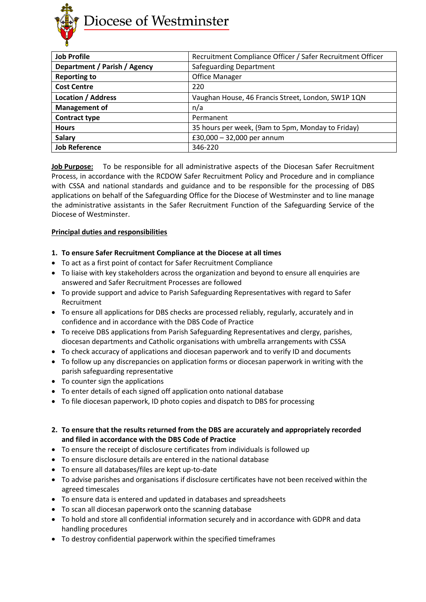

| <b>Job Profile</b>           | Recruitment Compliance Officer / Safer Recruitment Officer |
|------------------------------|------------------------------------------------------------|
| Department / Parish / Agency | <b>Safeguarding Department</b>                             |
| <b>Reporting to</b>          | <b>Office Manager</b>                                      |
| <b>Cost Centre</b>           | 220                                                        |
| <b>Location / Address</b>    | Vaughan House, 46 Francis Street, London, SW1P 1QN         |
| <b>Management of</b>         | n/a                                                        |
| <b>Contract type</b>         | Permanent                                                  |
| <b>Hours</b>                 | 35 hours per week, (9am to 5pm, Monday to Friday)          |
| <b>Salary</b>                | £30,000 $-$ 32,000 per annum                               |
| <b>Job Reference</b>         | 346-220                                                    |

**Job Purpose:** To be responsible for all administrative aspects of the Diocesan Safer Recruitment Process, in accordance with the RCDOW Safer Recruitment Policy and Procedure and in compliance with CSSA and national standards and guidance and to be responsible for the processing of DBS applications on behalf of the Safeguarding Office for the Diocese of Westminster and to line manage the administrative assistants in the Safer Recruitment Function of the Safeguarding Service of the Diocese of Westminster.

# **Principal duties and responsibilities**

# **1. To ensure Safer Recruitment Compliance at the Diocese at all times**

- To act as a first point of contact for Safer Recruitment Compliance
- To liaise with key stakeholders across the organization and beyond to ensure all enquiries are answered and Safer Recruitment Processes are followed
- To provide support and advice to Parish Safeguarding Representatives with regard to Safer Recruitment
- To ensure all applications for DBS checks are processed reliably, regularly, accurately and in confidence and in accordance with the DBS Code of Practice
- To receive DBS applications from Parish Safeguarding Representatives and clergy, parishes, diocesan departments and Catholic organisations with umbrella arrangements with CSSA
- To check accuracy of applications and diocesan paperwork and to verify ID and documents
- To follow up any discrepancies on application forms or diocesan paperwork in writing with the parish safeguarding representative
- To counter sign the applications
- To enter details of each signed off application onto national database
- To file diocesan paperwork, ID photo copies and dispatch to DBS for processing
- **2. To ensure that the results returned from the DBS are accurately and appropriately recorded and filed in accordance with the DBS Code of Practice**
- To ensure the receipt of disclosure certificates from individuals is followed up
- To ensure disclosure details are entered in the national database
- To ensure all databases/files are kept up-to-date
- To advise parishes and organisations if disclosure certificates have not been received within the agreed timescales
- To ensure data is entered and updated in databases and spreadsheets
- To scan all diocesan paperwork onto the scanning database
- To hold and store all confidential information securely and in accordance with GDPR and data handling procedures
- To destroy confidential paperwork within the specified timeframes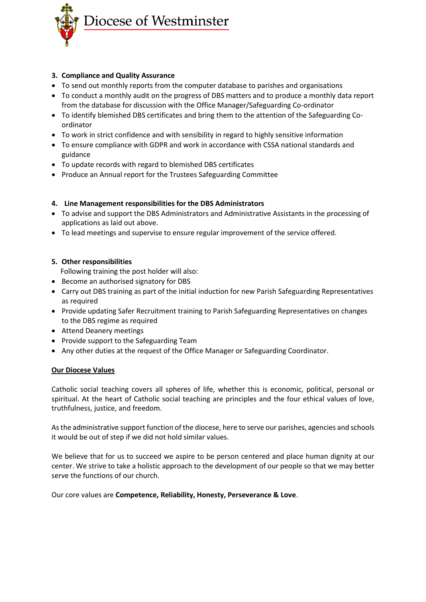

# **3. Compliance and Quality Assurance**

- To send out monthly reports from the computer database to parishes and organisations
- To conduct a monthly audit on the progress of DBS matters and to produce a monthly data report from the database for discussion with the Office Manager/Safeguarding Co-ordinator
- To identify blemished DBS certificates and bring them to the attention of the Safeguarding Coordinator
- To work in strict confidence and with sensibility in regard to highly sensitive information
- To ensure compliance with GDPR and work in accordance with CSSA national standards and guidance
- To update records with regard to blemished DBS certificates
- Produce an Annual report for the Trustees Safeguarding Committee

### **4. Line Management responsibilities for the DBS Administrators**

- To advise and support the DBS Administrators and Administrative Assistants in the processing of applications as laid out above.
- To lead meetings and supervise to ensure regular improvement of the service offered.

# **5. Other responsibilities**

Following training the post holder will also:

- Become an authorised signatory for DBS
- Carry out DBS training as part of the initial induction for new Parish Safeguarding Representatives as required
- Provide updating Safer Recruitment training to Parish Safeguarding Representatives on changes to the DBS regime as required
- Attend Deanery meetings
- Provide support to the Safeguarding Team
- Any other duties at the request of the Office Manager or Safeguarding Coordinator.

### **Our Diocese Values**

Catholic social teaching covers all spheres of life, whether this is economic, political, personal or spiritual. At the heart of Catholic social teaching are principles and the four ethical values of love, truthfulness, justice, and freedom.

As the administrative support function of the diocese, here to serve our parishes, agencies and schools it would be out of step if we did not hold similar values.

We believe that for us to succeed we aspire to be person centered and place human dignity at our center. We strive to take a holistic approach to the development of our people so that we may better serve the functions of our church.

Our core values are **Competence, Reliability, Honesty, Perseverance & Love**.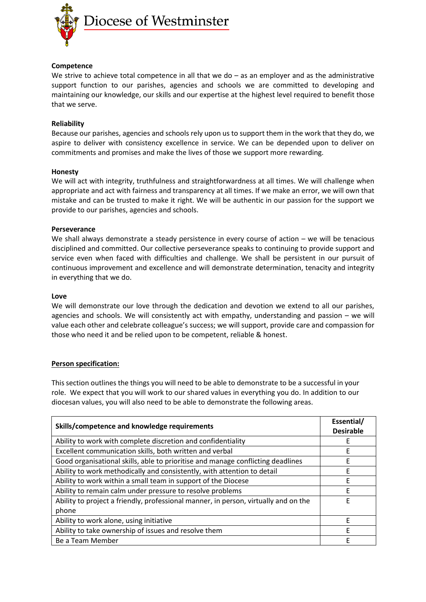

### **Competence**

We strive to achieve total competence in all that we do – as an employer and as the administrative support function to our parishes, agencies and schools we are committed to developing and maintaining our knowledge, our skills and our expertise at the highest level required to benefit those that we serve.

### **Reliability**

Because our parishes, agencies and schools rely upon us to support them in the work that they do, we aspire to deliver with consistency excellence in service. We can be depended upon to deliver on commitments and promises and make the lives of those we support more rewarding.

#### **Honesty**

We will act with integrity, truthfulness and straightforwardness at all times. We will challenge when appropriate and act with fairness and transparency at all times. If we make an error, we will own that mistake and can be trusted to make it right. We will be authentic in our passion for the support we provide to our parishes, agencies and schools.

#### **Perseverance**

We shall always demonstrate a steady persistence in every course of action – we will be tenacious disciplined and committed. Our collective perseverance speaks to continuing to provide support and service even when faced with difficulties and challenge. We shall be persistent in our pursuit of continuous improvement and excellence and will demonstrate determination, tenacity and integrity in everything that we do.

#### **Love**

We will demonstrate our love through the dedication and devotion we extend to all our parishes, agencies and schools. We will consistently act with empathy, understanding and passion – we will value each other and celebrate colleague's success; we will support, provide care and compassion for those who need it and be relied upon to be competent, reliable & honest.

### **Person specification:**

This section outlines the things you will need to be able to demonstrate to be a successful in your role. We expect that you will work to our shared values in everything you do. In addition to our diocesan values, you will also need to be able to demonstrate the following areas.

| Skills/competence and knowledge requirements                                        | Essential/<br><b>Desirable</b> |
|-------------------------------------------------------------------------------------|--------------------------------|
| Ability to work with complete discretion and confidentiality                        | E                              |
| Excellent communication skills, both written and verbal                             | F                              |
| Good organisational skills, able to prioritise and manage conflicting deadlines     | F                              |
| Ability to work methodically and consistently, with attention to detail             | F                              |
| Ability to work within a small team in support of the Diocese                       | F                              |
| Ability to remain calm under pressure to resolve problems                           | F                              |
| Ability to project a friendly, professional manner, in person, virtually and on the | F                              |
| phone                                                                               |                                |
| Ability to work alone, using initiative                                             | F                              |
| Ability to take ownership of issues and resolve them                                | F                              |
| Be a Team Member                                                                    | F                              |